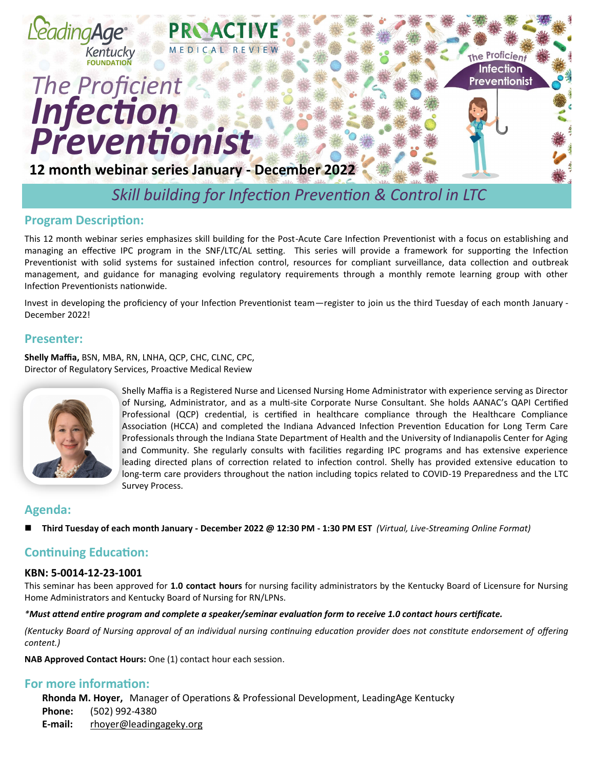

## **Program Description:**

This 12 month webinar series emphasizes skill building for the Post-Acute Care Infection Preventionist with a focus on establishing and managing an effective IPC program in the SNF/LTC/AL setting. This series will provide a framework for supporting the Infection Preventionist with solid systems for sustained infection control, resources for compliant surveillance, data collection and outbreak management, and guidance for managing evolving regulatory requirements through a monthly remote learning group with other Infection Preventionists nationwide.

Invest in developing the proficiency of your Infection Preventionist team—register to join us the third Tuesday of each month January - December 2022!

#### **Presenter:**

**Shelly Maffia,** BSN, MBA, RN, LNHA, QCP, CHC, CLNC, CPC, Director of Regulatory Services, Proactive Medical Review



Shelly Maffia is a Registered Nurse and Licensed Nursing Home Administrator with experience serving as Director of Nursing, Administrator, and as a multi-site Corporate Nurse Consultant. She holds AANAC's QAPI Certified Professional (QCP) credential, is certified in healthcare compliance through the Healthcare Compliance Association (HCCA) and completed the Indiana Advanced Infection Prevention Education for Long Term Care Professionals through the Indiana State Department of Health and the University of Indianapolis Center for Aging and Community. She regularly consults with facilities regarding IPC programs and has extensive experience leading directed plans of correction related to infection control. Shelly has provided extensive education to long-term care providers throughout the nation including topics related to COVID-19 Preparedness and the LTC Survey Process.

#### **Agenda:**

◼ **Third Tuesday of each month January - December 2022 @ 12:30 PM - 1:30 PM EST** *(Virtual, Live-Streaming Online Format)*

#### **Continuing Education:**

#### **KBN: 5-0014-12-23-1001**

This seminar has been approved for **1.0 contact hours** for nursing facility administrators by the Kentucky Board of Licensure for Nursing Home Administrators and Kentucky Board of Nursing for RN/LPNs.

#### *\*Must attend entire program and complete a speaker/seminar evaluation form to receive 1.0 contact hours certificate.*

*(Kentucky Board of Nursing approval of an individual nursing continuing education provider does not constitute endorsement of offering content.)*

**NAB Approved Contact Hours:** One (1) contact hour each session.

#### **For more information:**

**Rhonda M. Hoyer,** Manager of Operations & Professional Development, LeadingAge Kentucky

**Phone:** (502) 992-4380

**E-mail:** rhoyer@leadingageky.org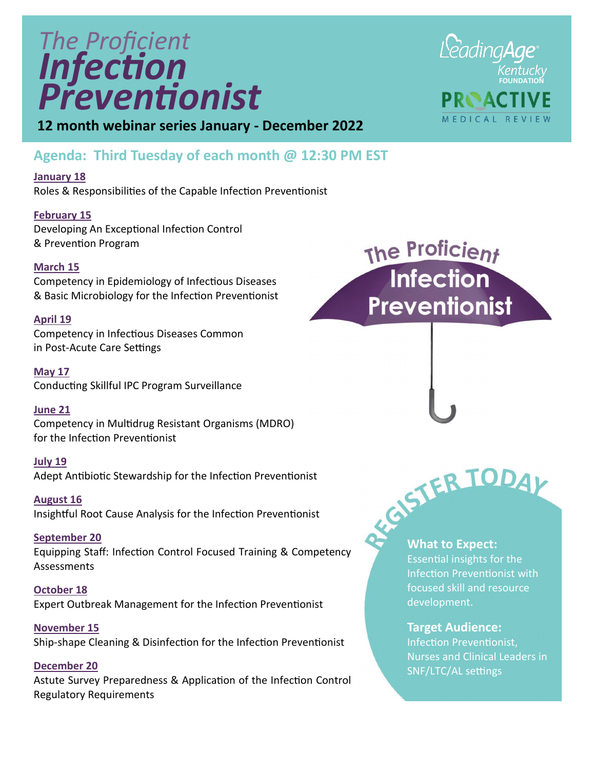# *Infection The Proficient Preventionist*



**12 month webinar series January - December 2022**

### **Agenda: Third Tuesday of each month @ 12:30 PM EST**

**January 18**

Roles & Responsibilities of the Capable Infection Preventionist

**February 15** Developing An Exceptional Infection Control & Prevention Program

#### **March 15**

Competency in Epidemiology of Infectious Diseases & Basic Microbiology for the Infection Preventionist

#### **April 19**

Competency in Infectious Diseases Common in Post-Acute Care Settings

**May 17** Conducting Skillful IPC Program Surveillance

#### **June 21**

Competency in Multidrug Resistant Organisms (MDRO) for the Infection Preventionist

**July 19** Adept Antibiotic Stewardship for the Infection Preventionist

**August 16** Insightful Root Cause Analysis for the Infection Preventionist

**September 20** Equipping Staff: Infection Control Focused Training & Competency Assessments

**October 18** Expert Outbreak Management for the Infection Preventionist

**November 15** Ship-shape Cleaning & Disinfection for the Infection Preventionist

**December 20** Astute Survey Preparedness & Application of the Infection Control Regulatory Requirements

The Proficient<br>Infection **Preventionist** 



Essential insights for the Infection Preventionist with focused skill and resource development.

#### **Target Audience:**

Infection Preventionist, Nurses and Clinical Leaders in SNF/LTC/AL settings